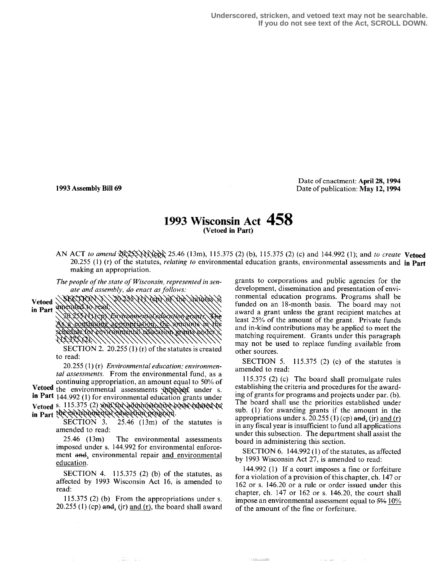**Underscored, stricken, and vetoed text may not be searchable. If you do not see text of the Act, SCROLL DOWN.**

Date of enactment: April 28, 1994 1993 Assembly Bill 69 Date of publication: May 12, 1994

## 1993 Wisconsin Act 458 (Vetoed in Part)

AN ACT to amend  $\frac{20\sqrt{35}}{100}$  25.46 (13m), 115.375 (2) (b), 115.375 (2) (c) and 144.992 (1); and to create Vetoed 20.255 (1) (r) of the statutes, *relating to* environmental education grants, environmental assessments and in Part making an appropriation.

The people of the state of Wisconsin, represented in senate and assembly, do enact as follows:<br>EEXION X \\ZOZES XX \&D \&X \DE \Latin&

Vetoed WebMY in Part a contribute absorption to animalize schedule Yor environnental ecurcanon eranes ut

> SECTION 2. 20.255 (1) (r) of the statutes is created to read:

20.255 (1) (r) Environmental education; environmental assessments. From the environmental fund, as a continuing appropriation, an amount equal to 50% of continuing appropriation, an amount equal to 50°/> of Vetoed the environmental assessments  $\hat{X}$   $\hat{X}$  and  $\hat{Y}$  and  $\hat{Y}$  are set in Part 144.992 (1) for environmental education grants under in Part 144.992 (1) for environmental education grants under

Vetoed s. 115.375 (2) and Yor administrative costs related to in Part the environmental education program.

SECTION 3.  $25.46$  (13m) of the statutes is amended to read:<br> $25.46$  (13m)

The environmental assessments imposed under s. 144.992 for environmental enforcement and, environmental repair and environmental education.

SECTION 4. 115.375 (2) (b) of the statutes, as affected by 1993 Wisconsin Act 16, is amended to read:

115.375 (2) (b) From the appropriations under s.  $20.255$  (1) (cp) and, (ir) and (r), the board shall award

a matematika ka

grants to corporations and public agencies for the development, dissemination and presentation of environmental education programs. Programs shall be funded on an 18-month basis. The board may not award a grant unless the grant recipient matches at least 25% of the amount of the grant. Private funds and in-kind contributions may be applied to meet the matching requirement. Grants under this paragraph may not be used to replace funding available from other sources.

SECTION 5. 115.375 (2) (c) of the statutes is amended to read:

115.375 (2) (c) The board shall promulgate rules establishing the criteria and procedures for the awarding of grants for programs and projects under par. (b). The board shall use the priorities established under sub. (1) for awarding grants if the amount in the appropriations under s. 20.255 (1) (cp) and, (ir) and (r) in any fiscal year is insufficient to fund all applications under this subsection. The department shall assist the board in administering this section.

SECTION 6. 144.992 (1) of the statutes, as affected by 1993 Wisconsin Act 27, is amended to read:

144.992 (1) If a court imposes a fine or forfeiture for a violation of a provision of this chapter, ch. 147 or 162 or s. 146.20 or a rule or order issued under this chapter, ch. 147 or 162 or s. 146.20, the court shall impose an environmental assessment equal to 5% 10% of the amount of the fine or forfeiture.

**COMMANDER**